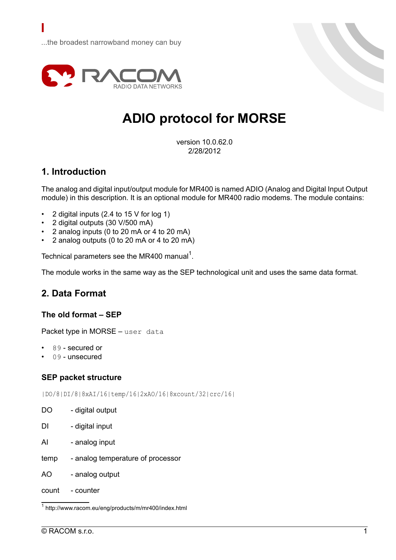

# **ADIO protocol for MORSE**

version 10.0.62.0 2/28/2012

### **1. Introduction**

The analog and digital input/output module for MR400 is named ADIO (Analog and Digital Input Output module) in this description. It is an optional module for MR400 radio modems. The module contains:

- 2 digital inputs (2.4 to 15 V for log 1)
- 2 digital outputs (30 V/500 mA)
- 2 analog inputs (0 to 20 mA or 4 to 20 mA)
- 2 analog outputs (0 to 20 mA or 4 to 20 mA)

Technical parameters see the MR400 [manual](http://www.racom.eu/eng/products/m/mr400/index.html)<sup>1</sup>.

The module works in the same way as the SEP technological unit and uses the same data format.

### **2. Data Format**

### **The old format – SEP**

Packet type in MORSE - user data

- 89 secured or
- 09 unsecured

#### **SEP packet structure**

|DO/8|DI/8|8xAI/16|temp/16|2xAO/16|8xcount/32|crc/16|

- DO digital output
- DI digital input
- AI analog input
- temp analog temperature of processor
- AO analog output
- count counter

<sup>1</sup> http://www.racom.eu/eng/products/m/mr400/index.html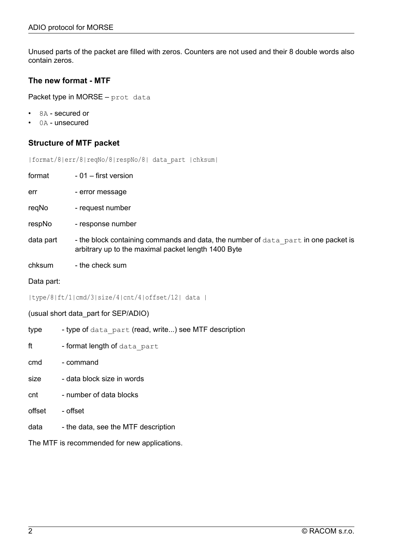Unused parts of the packet are filled with zeros. Counters are not used and their 8 double words also contain zeros.

### **The new format - MTF**

Packet type in MORSE – prot data

- 8A secured or
- 0A unsecured

### **Structure of MTF packet**

|format/8|err/8|reqNo/8|respNo/8| data\_part |chksum|

 $format - 01 - first version$ 

err - error message

- reqNo request number
- respNo response number
- data part  $-$  the block containing commands and data, the number of  $data$  part in one packet is arbitrary up to the maximal packet length 1400 Byte
- chksum the check sum

Data part:

```
|type/8|ft/1|cmd/3|size/4|cnt/4|offset/12| data |
```
(usual short data\_part for SEP/ADIO)

type - type of data part (read, write...) see MTF description

ft - format length of data part

- cmd command
- size data block size in words
- cnt number of data blocks
- offset offset
- data the data, see the MTF description

The MTF is recommended for new applications.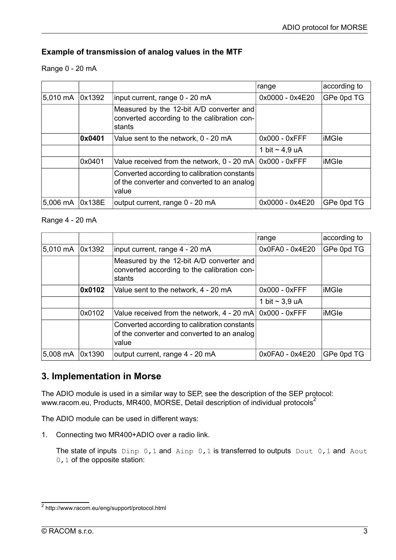### **Example of transmission of analog values in the MTF**

Range 0 - 20 mA

|                    |        |                                                                                                      | range               | according to |
|--------------------|--------|------------------------------------------------------------------------------------------------------|---------------------|--------------|
| 5,010 mA           | 0x1392 | input current, range 0 - 20 mA                                                                       | 0x0000 - 0x4E20     | GPe 0pd TG   |
|                    |        | Measured by the 12-bit A/D converter and<br>converted according to the calibration con-<br>stants    |                     |              |
|                    | 0x0401 | Value sent to the network, 0 - 20 mA                                                                 | $0x000 - 0x$ FFF    | ∣iMGle       |
|                    |        |                                                                                                      | 1 bit $\sim$ 4,9 uA |              |
|                    | 0x0401 | Value received from the network, 0 - 20 mA                                                           | 0x000 - 0xFFF       | liMGle       |
|                    |        | Converted according to calibration constants<br>of the converter and converted to an analog<br>value |                     |              |
| $5,006 \text{ mA}$ | 0x138E | output current, range 0 - 20 mA                                                                      | 0x0000 - 0x4E20     | GPe 0pd TG   |

### Range 4 - 20 mA

|          |        |                                                                                                      | range               | according to |
|----------|--------|------------------------------------------------------------------------------------------------------|---------------------|--------------|
| 5,010 mA | 0x1392 | input current, range 4 - 20 mA                                                                       | 0x0FA0 - 0x4E20     | GPe 0pd TG   |
|          |        | Measured by the 12-bit A/D converter and<br>converted according to the calibration con-<br>stants    |                     |              |
|          | 0x0102 | Value sent to the network, 4 - 20 mA                                                                 | $0x000 - 0x$ FFF    | liMGle       |
|          |        |                                                                                                      | 1 bit $\sim$ 3,9 uA |              |
|          | 0x0102 | Value received from the network, 4 - 20 mA                                                           | 0x000 - 0xFFF       | ∣iMGle       |
|          |        | Converted according to calibration constants<br>of the converter and converted to an analog<br>value |                     |              |
| 5,008 mA | 0x1390 | output current, range 4 - 20 mA                                                                      | 0x0FA0 - 0x4E20     | GPe 0pd TG   |

### **3. Implementation in Morse**

The ADIO module is used in a similar way to SEP, see the description of the SEP protocol: [www.racom.eu,](http://www.racom.eu/eng/support/protocol.html) Products, MR400, MORSE, Detail description of individual protocols<sup>2</sup>

The ADIO module can be used in different ways:

1. Connecting two MR400+ADIO over a radio link.

The state of inputs Dinp 0,1 and Ainp 0,1 is transferred to outputs Dout 0,1 and Aout 0, 1 of the opposite station:

<sup>&</sup>lt;sup>2</sup> http://www.racom.eu/eng/support/protocol.html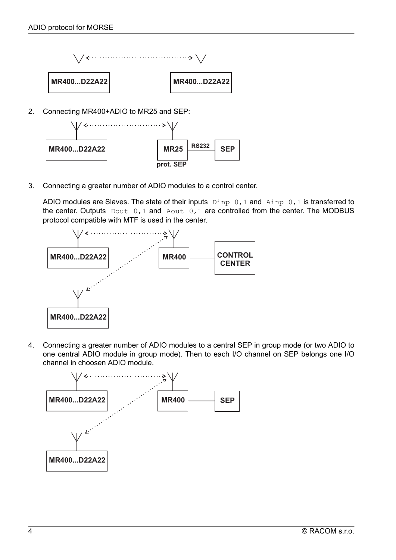

2. Connecting MR400+ADIO to MR25 and SEP:



3. Connecting a greater number of ADIO modules to a control center.

ADIO modules are Slaves. The state of their inputs  $\text{Dinp } 0,1$  and  $\text{Ainp } 0,1$  is transferred to the center. Outputs Dout 0, 1 and Aout 0, 1 are controlled from the center. The MODBUS protocol compatible with MTF is used in the center.



4. Connecting a greater number of ADIO modules to a central SEP in group mode (or two ADIO to one central ADIO module in group mode). Then to each I/O channel on SEP belongs one I/O channel in choosen ADIO module.

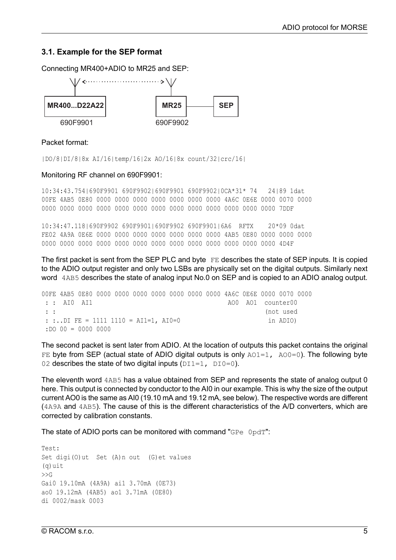### **3.1. Example for the SEP format**

Connecting MR400+ADIO to MR25 and SEP:  $\rightarrow$ **MR400...D22A22** MR25  $\frac{|\text{MR25}|}{|\text{MR25}|}$  SEP



#### Packet format:

|DO/8|DI/8|8x AI/16|temp/16|2x AO/16|8x count/32|crc/16|

#### Monitoring RF channel on 690F9901:

10:34:43.754|690F9901 690F9902|690F9901 690F9902|0CA\*31\* 74 24|89 1dat 00FE 4AB5 0E80 0000 0000 0000 0000 0000 0000 0000 4A6C 0E6E 0000 0070 0000 0000 0000 0000 0000 0000 0000 0000 0000 0000 0000 0000 0000 0000 7DDF

10:34:47.118|690F9902 690F9901|690F9902 690F9901|6A6 RFTX 20\*09 0dat FE02 4A9A 0E6E 0000 0000 0000 0000 0000 0000 0000 4AB5 0E80 0000 0000 0000 0000 0000 0000 0000 0000 0000 0000 0000 0000 0000 0000 0000 0000 4D4F

The first packet is sent from the SEP PLC and byte FE describes the state of SEP inputs. It is copied to the ADIO output register and only two LSBs are physically set on the digital outputs. Similarly next word 4AB5 describes the state of analog input No.0 on SEP and is copied to an ADIO analog output.

00FE 4AB5 0E80 0000 0000 0000 0000 0000 0000 0000 4A6C 0E6E 0000 0070 0000 : : AI0 AI1 AO0 AO1 counter00 : : (not used : :..DI FE = 1111 1110 = AI1=1, AI0=0 in ADIO) :DO 00 = 0000 0000

The second packet is sent later from ADIO. At the location of outputs this packet contains the original FE byte from SEP (actual state of ADIO digital outputs is only  $A[0.1]$ ,  $A[0.0]$ . The following byte 02 describes the state of two digital inputs  $(DI1=1, DIO=0)$ .

The eleventh word 4AB5 has a value obtained from SEP and represents the state of analog output 0 here. This output is connected by conductor to the AI0 in our example. This is why the size of the output current AO0 is the same as AI0 (19.10 mA and 19.12 mA, see below). The respective words are different (4A9A and 4AB5). The cause of this is the different characteristics of the A/D converters, which are corrected by calibration constants.

The state of ADIO ports can be monitored with command "GPe 0pdT":

Test: Set digi(O)ut Set (A)n out (G)et values (q)uit  $>>G$ Gai0 19.10mA (4A9A) ai1 3.70mA (0E73) ao0 19.12mA (4AB5) ao1 3.71mA (0E80) di 0002/mask 0003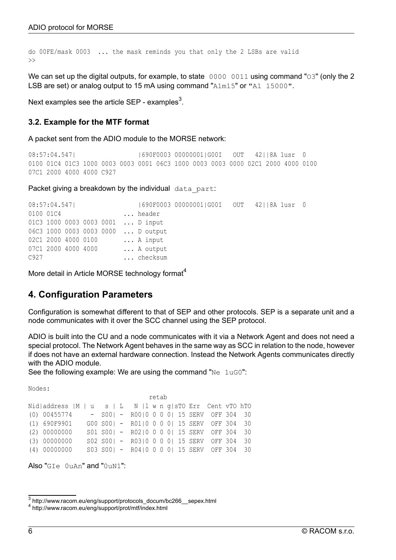```
do 00FE/mask 0003 ... the mask reminds you that only the 2 LSBs are valid
>>
```
We can set up the digital outputs, for example, to state 0000 0011 using command "O3" (only the 2 LSB are set) or analog output to 15 mA using command "A1m15" or "A1 15000".

Next [examples](http://www.racom.eu/eng/support/protocols_docum/bc266__sepex.html) see the article SEP - examples $^3$ .

### **3.2. Example for the MTF format**

A packet sent from the ADIO module to the MORSE network:

```
08:57:04.547|   690F0003 00000001|G00I   00T   42||8A 1usr 0
0100 01C4 01C3 1000 0003 0003 0001 06C3 1000 0003 0003 0000 02C1 2000 4000 0100
07C1 2000 4000 4000 C927
```
Packet giving a breakdown by the individual data part:

| 08:57:04.547 |  |                     |  |  |                                    | 690F0003 000000016001 OUT 42118A 1usr 0 |  |  |  |
|--------------|--|---------------------|--|--|------------------------------------|-----------------------------------------|--|--|--|
| 0100 01C4    |  |                     |  |  | header                             |                                         |  |  |  |
|              |  |                     |  |  | 01C3 1000 0003 0003 0001  D input  |                                         |  |  |  |
|              |  |                     |  |  | 06C3 1000 0003 0003 0000  D output |                                         |  |  |  |
|              |  | 02C1 2000 4000 0100 |  |  | A input                            |                                         |  |  |  |
|              |  | 07C1 2000 4000 4000 |  |  | A output                           |                                         |  |  |  |
| C927         |  |                     |  |  | checksum                           |                                         |  |  |  |

More detail in Article MORSE [technology](http://www.racom.eu/eng/support/prot/mtf/index.html) format<sup>4</sup>

### **4. Configuration Parameters**

Configuration is somewhat different to that of SEP and other protocols. SEP is a separate unit and a node communicates with it over the SCC channel using the SEP protocol.

ADIO is built into the CU and a node communicates with it via a Network Agent and does not need a special protocol. The Network Agent behaves in the same way as SCC in relation to the node, however if does not have an external hardware connection. Instead the Network Agents communicates directly with the ADIO module.

See the following example: We are using the command "Ne 1uG0":

Nodes:

|                                                                |  |                                                | retab |  |  |  |
|----------------------------------------------------------------|--|------------------------------------------------|-------|--|--|--|
| Nid address  M   u s   L   N   l w n q  sTO Err   Cent vTO hTO |  |                                                |       |  |  |  |
| $(0)$ 00455774                                                 |  | $-$ S00  $-$ R00  0 0 0 0  15 SERV OFF 304 30  |       |  |  |  |
| (1) 690F9901                                                   |  | G00 S00  - R01 0 0 0 0  15 SERV OFF 304 30     |       |  |  |  |
| (2) 00000000                                                   |  | S01 S00  - R02 0 0 0 0  15 SERV OFF 304 30     |       |  |  |  |
| (3) 00000000                                                   |  | S02 S00   - R03   0 0 0 0   15 SERV OFF 304 30 |       |  |  |  |
| (4) 00000000                                                   |  | S03 S00   - R04   0 0 0 0   15 SERV OFF 304 30 |       |  |  |  |

Also "GIe  $0 \text{uAn}$ " and " $0 \text{uM}$ "

<sup>3</sup> http://www.racom.eu/eng/support/protocols\_docum/bc266\_\_sepex.html

<sup>4</sup> http://www.racom.eu/eng/support/prot/mtf/index.html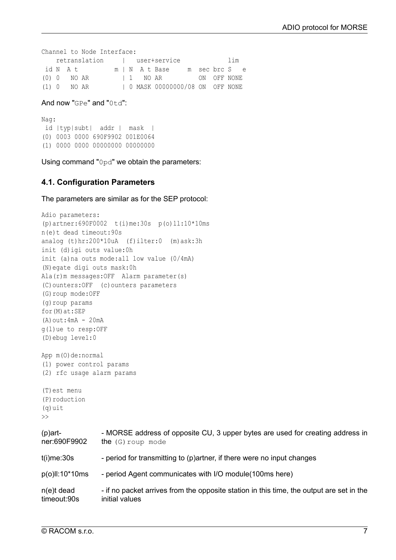```
Channel to Node Interface:
  retranslation | user+service lim
id N A t m | N A t Base m sec brc S e
(0) 0 NO AR | 1 NO AR ON OFF NONE
(1) 0 NO AR | 0 MASK 00000000/08 ON OFF NONE
```
And now "GPe" and " $0+d$ ":

Nag: id |typ|subt| addr | mask | (0) 0003 0000 690F9902 001E0064 (1) 0000 0000 00000000 00000000

Using command "0pd" we obtain the parameters:

#### **4.1. Configuration Parameters**

The parameters are similar as for the SEP protocol:

```
Adio parameters:
(p)artner:690F0002 t(i)me:30s p(o)ll:10*10ms
n(e)t dead timeout:90s
analog (t)hr:200*10uA (f)ilter:0 (m)ask:3h
init (d)igi outs value:0h
init (a)na outs mode:all low value (0/4mA)
(N)egate digi outs mask:0h
Ala(r)m messages:OFF Alarm parameter(s)
(C)ounters:OFF (c)ounters parameters
(G)roup mode:OFF
(g)roup params
for(M)at:SEP
(A) out:4mA - 20mA
g(l)ue to resp:OFF
(D)ebug level:0
App m(0)de:normal
(1) power control params
(2) rfc usage alarm params
(T)est menu
(P)roduction
(q)uit
\rightarrow(p)art-
ner:690F9902
                 - MORSE address of opposite CU, 3 upper bytes are used for creating address in
                 the (G) roup mode
t(i)me:30s - period for transmitting to (p)artner, if there were no input changes
p(o)ll:10*10ms - period Agent communicates with I/O module(100ms here)
n(e)t dead
timeout:90s
                 - if no packet arrives from the opposite station in this time, the output are set in the
                 initial values
```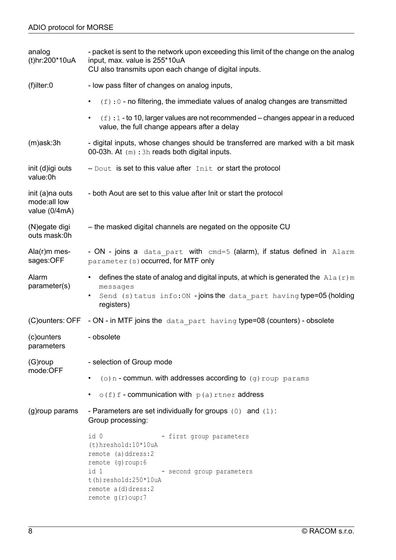| analog<br>(t)hr:200*10uA                         | - packet is sent to the network upon exceeding this limit of the change on the analog<br>input, max. value is 255*10uA<br>CU also transmits upon each change of digital inputs.                                                |  |  |  |  |  |  |
|--------------------------------------------------|--------------------------------------------------------------------------------------------------------------------------------------------------------------------------------------------------------------------------------|--|--|--|--|--|--|
| $(f)$ ilter:0                                    | - low pass filter of changes on analog inputs,                                                                                                                                                                                 |  |  |  |  |  |  |
|                                                  | $(f)$ : 0 - no filtering, the immediate values of analog changes are transmitted<br>$\bullet$                                                                                                                                  |  |  |  |  |  |  |
|                                                  | $(f)$ : 1 - to 10, larger values are not recommended – changes appear in a reduced<br>$\bullet$<br>value, the full change appears after a delay                                                                                |  |  |  |  |  |  |
| $(m)$ ask: $3h$                                  | - digital inputs, whose changes should be transferred are marked with a bit mask<br>00-03h. At (m): 3h reads both digital inputs.                                                                                              |  |  |  |  |  |  |
| init (d)igi outs<br>value:0h                     | $-$ Dout is set to this value after $Init$ or start the protocol                                                                                                                                                               |  |  |  |  |  |  |
| init (a)na outs<br>mode:all low<br>value (0/4mA) | - both Aout are set to this value after Init or start the protocol                                                                                                                                                             |  |  |  |  |  |  |
| (N)egate digi<br>outs mask:0h                    | - the masked digital channels are negated on the opposite CU                                                                                                                                                                   |  |  |  |  |  |  |
| $Ala(r)m$ mes-<br>sages:OFF                      | - ON - joins a data part with cmd=5 (alarm), if status defined in Alarm<br>parameter (s) occurred, for MTF only                                                                                                                |  |  |  |  |  |  |
| Alarm<br>parameter(s)                            | defines the state of analog and digital inputs, at which is generated the Ala $(r)$ m<br>$\bullet$<br>messages<br>Send (s) tatus info: ON -joins the data part having type=05 (holding<br>registers)                           |  |  |  |  |  |  |
| (C)ounters: OFF                                  | - ON - in MTF joins the data part having type=08 (counters) - obsolete                                                                                                                                                         |  |  |  |  |  |  |
| (c)ounters<br>parameters                         | - obsolete                                                                                                                                                                                                                     |  |  |  |  |  |  |
| (G)roup                                          | - selection of Group mode                                                                                                                                                                                                      |  |  |  |  |  |  |
| mode:OFF                                         | (o) $n$ - commun. with addresses according to $(g)$ roup params                                                                                                                                                                |  |  |  |  |  |  |
|                                                  | $o(f)$ f - communication with $p(a)$ rtner address                                                                                                                                                                             |  |  |  |  |  |  |
| (g)roup params                                   | - Parameters are set individually for groups $(0)$ and $(1)$ :<br>Group processing:                                                                                                                                            |  |  |  |  |  |  |
|                                                  | - first group parameters<br>id 0<br>$(t)$ hreshold: $10*10uA$<br>remote (a)ddress:2<br>remote (g) roup: 6<br>id 1<br>- second group parameters<br>$t(h)$ reshold: $250*10uA$<br>remote $a(d)$ dress: 2<br>remote $g(r)$ oup: 7 |  |  |  |  |  |  |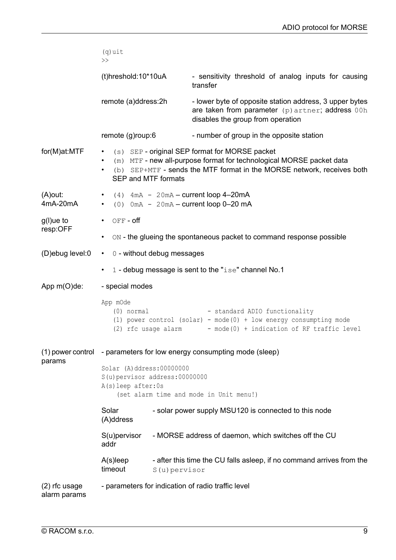|                                 | $(q)$ uit<br>$\gt$                                                                                                                                                                                                                        |               |                                                                                                                                                  |  |  |  |  |
|---------------------------------|-------------------------------------------------------------------------------------------------------------------------------------------------------------------------------------------------------------------------------------------|---------------|--------------------------------------------------------------------------------------------------------------------------------------------------|--|--|--|--|
|                                 | (t)hreshold:10*10uA                                                                                                                                                                                                                       |               | - sensitivity threshold of analog inputs for causing<br>transfer                                                                                 |  |  |  |  |
|                                 | remote (a)ddress:2h                                                                                                                                                                                                                       |               | - lower byte of opposite station address, 3 upper bytes<br>are taken from parameter (p) artner; address 00h<br>disables the group from operation |  |  |  |  |
|                                 | remote (g)roup:6                                                                                                                                                                                                                          |               | - number of group in the opposite station                                                                                                        |  |  |  |  |
| for(M)at:MTF                    | (s) SEP - original SEP format for MORSE packet<br>٠<br>(m) MTF - new all-purpose format for technological MORSE packet data<br>$\bullet$<br>(b) SEP+MTF - sends the MTF format in the MORSE network, receives both<br>SEP and MTF formats |               |                                                                                                                                                  |  |  |  |  |
| $(A)$ out:<br>4mA-20mA          | $(4)$ 4mA - 20mA - current loop 4-20mA<br>$(0)$ 0mA - 20mA - current loop 0-20 mA<br>$\bullet$                                                                                                                                            |               |                                                                                                                                                  |  |  |  |  |
| g(l)ue to                       | OFF- off<br>$\bullet$                                                                                                                                                                                                                     |               |                                                                                                                                                  |  |  |  |  |
| resp:OFF                        | ON - the glueing the spontaneous packet to command response possible<br>$\bullet$                                                                                                                                                         |               |                                                                                                                                                  |  |  |  |  |
| (D)ebug level:0                 | 0 - without debug messages<br>$\bullet$                                                                                                                                                                                                   |               |                                                                                                                                                  |  |  |  |  |
|                                 | 1 - debug message is sent to the "ise" channel No.1                                                                                                                                                                                       |               |                                                                                                                                                  |  |  |  |  |
| App $m(O)$ de:                  | - special modes                                                                                                                                                                                                                           |               |                                                                                                                                                  |  |  |  |  |
|                                 | App mOde<br>$(0)$ normal<br>(2) rfc usage alarm                                                                                                                                                                                           |               | - standard ADIO functionality<br>(1) power control (solar) - mode(0) + low energy consumpting mode<br>- mode(0) + indication of RF traffic level |  |  |  |  |
| params                          | (1) power control - parameters for low energy consumpting mode (sleep)                                                                                                                                                                    |               |                                                                                                                                                  |  |  |  |  |
|                                 | Solar (A) ddress: 00000000<br>S(u) pervisor address: 00000000<br>A(s) leep after: 0s<br>(set alarm time and mode in Unit menu!)                                                                                                           |               |                                                                                                                                                  |  |  |  |  |
|                                 | Solar<br>- solar power supply MSU120 is connected to this node<br>(A)ddress                                                                                                                                                               |               |                                                                                                                                                  |  |  |  |  |
|                                 | - MORSE address of daemon, which switches off the CU<br>$S(u)$ pervisor<br>addr                                                                                                                                                           |               |                                                                                                                                                  |  |  |  |  |
|                                 | $A(s)$ leep<br>timeout                                                                                                                                                                                                                    | S(u) pervisor | - after this time the CU falls asleep, if no command arrives from the                                                                            |  |  |  |  |
| $(2)$ rfc usage<br>alarm params |                                                                                                                                                                                                                                           |               | - parameters for indication of radio traffic level                                                                                               |  |  |  |  |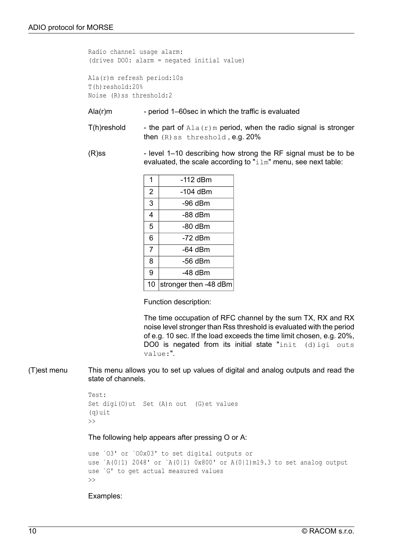Radio channel usage alarm: (drives DO0: alarm = negated initial value)

Ala(r)m refresh period:10s T(h)reshold:20% Noise (R)ss threshold:2

- Ala(r)m period 1–60sec in which the traffic is evaluated
- T(h)reshold the part of  $\text{Ala}(r)$ m period, when the radio signal is stronger then  $(R)$  ss threshold, e.g.  $20\%$
- $(R)$ ss level 1–10 describing how strong the RF signal must be to be evaluated, the scale according to " $\pm 1$ m" menu, see next table:

| 1  | -112 dBm              |
|----|-----------------------|
| 2  | -104 dBm              |
| 3  | -96 dBm               |
| 4  | -88 dBm               |
| 5  | -80 dBm               |
| 6  | -72 dBm               |
| 7  | -64 dBm               |
| 8  | -56 dBm               |
| 9  | $-48$ dBm             |
| 10 | stronger then -48 dBm |

Function description:

The time occupation of RFC channel by the sum TX, RX and RX noise level stronger than Rss threshold is evaluated with the period of e.g. 10 sec. If the load exceeds the time limit chosen, e.g. 20%, DO0 is negated from its initial state "init  $(d)$  igi outs value:".

(T)est menu This menu allows you to set up values of digital and analog outputs and read the state of channels.

```
Test:
Set digi(O)ut Set (A)n out (G)et values
(q)uit
\rightarrow
```
The following help appears after pressing O or A:

```
use `O3' or `O0x03' to set digital outputs or
use `A(0|1) 2048' or `A(0|1) 0x800' or A(0|1)m19.3 to set analog output
use `G' to get actual measured values
\gt
```
Examples: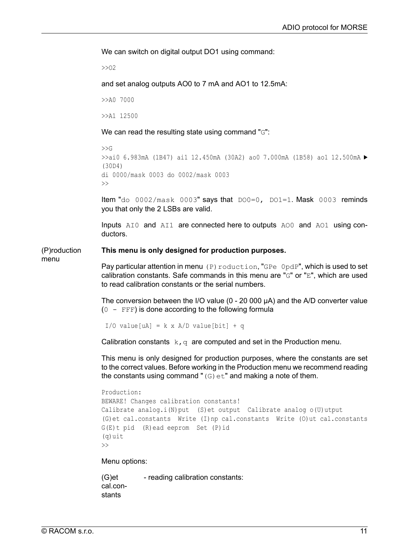We can switch on digital output DO1 using command:

>>O2

and set analog outputs AO0 to 7 mA and AO1 to 12.5mA:

>>A0 7000

>>A1 12500

We can read the resulting state using command "G":

```
\rightarrow>>ai0 6.983mA (1B47) ai1 12.450mA (30A2) ao0 7.000mA (1B58) ao1 12.500mA ►
(30D4)
di 0000/mask 0003 do 0002/mask 0003
\rightarrow
```
Item "do 0002/mask 0003" says that DO0=0, DO1=1. Mask 0003 reminds you that only the 2 LSBs are valid.

Inputs  $AIO$  and  $AII$  are connected here to outputs  $AOO$  and  $AOO$  using conductors.

#### (P)roduction **This menu is only designed for production purposes.**

menu

Pay particular attention in menu (P) roduction, "GPe  $0pdP$ ", which is used to set calibration constants. Safe commands in this menu are "G" or "E", which are used to read calibration constants or the serial numbers.

The conversion between the I/O value (0 - 20 000 µA) and the A/D converter value  $(0 - FFF)$  is done according to the following formula

 $I/O$  value[uA] = k x A/D value[bit] + q

Calibration constants  $k, q$  are computed and set in the Production menu.

This menu is only designed for production purposes, where the constants are set to the correct values. Before working in the Production menu we recommend reading the constants using command " $(G)$ et" and making a note of them.

```
Production:
BEWARE! Changes calibration constants!
Calibrate analog.i(N)put (S)et output Calibrate analog o(U)utput
(G)et cal.constants Write (I)np cal.constants Write (O)ut cal.constants
G(E)t pid (R)ead eeprom Set (P)id
(q)uit
\rightarrow
```
Menu options:

(G)et cal.constants - reading calibration constants: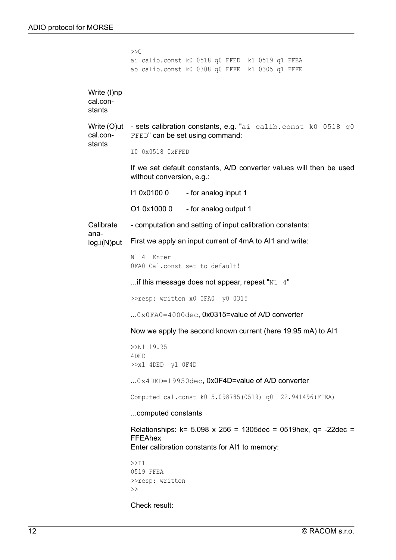|                                   | >>G                                                                                                                                         |  |  |  |  |  |  |  |
|-----------------------------------|---------------------------------------------------------------------------------------------------------------------------------------------|--|--|--|--|--|--|--|
|                                   | ai calib.const k0 0518 q0 FFED k1 0519 q1 FFEA<br>ao calib.const k0 0308 q0 FFFE k1 0305 q1 FFFE                                            |  |  |  |  |  |  |  |
| Write (I)np<br>cal.con-<br>stants |                                                                                                                                             |  |  |  |  |  |  |  |
| cal.con-                          | Write (O)ut - sets calibration constants, e.g. "ai calib.const k0 0518 q0<br>FFED" can be set using command:                                |  |  |  |  |  |  |  |
| stants                            | IO 0x0518 0xFFED                                                                                                                            |  |  |  |  |  |  |  |
|                                   | If we set default constants, A/D converter values will then be used<br>without conversion, e.g.:                                            |  |  |  |  |  |  |  |
|                                   | 11 0x0100 0<br>- for analog input 1                                                                                                         |  |  |  |  |  |  |  |
|                                   | O1 0x1000 0 - for analog output 1                                                                                                           |  |  |  |  |  |  |  |
| Calibrate                         | - computation and setting of input calibration constants:                                                                                   |  |  |  |  |  |  |  |
| ana-<br>$log.i(N)$ put            | First we apply an input current of 4mA to AI1 and write:                                                                                    |  |  |  |  |  |  |  |
|                                   | N1 4 Enter<br>OFAO Cal.const set to default!                                                                                                |  |  |  |  |  |  |  |
|                                   | if this message does not appear, repeat " $N1$ 4"                                                                                           |  |  |  |  |  |  |  |
|                                   | >>resp: written x0 OFA0 y0 0315                                                                                                             |  |  |  |  |  |  |  |
|                                   | $0x0FA0=4000dec$ , 0x0315=value of A/D converter                                                                                            |  |  |  |  |  |  |  |
|                                   | Now we apply the second known current (here 19.95 mA) to AI1                                                                                |  |  |  |  |  |  |  |
|                                   | $>>N1$ 19.95<br>4 DE D                                                                                                                      |  |  |  |  |  |  |  |
|                                   | $>>x1$ 4DED $y1$ 0F4D                                                                                                                       |  |  |  |  |  |  |  |
|                                   | $0x4$ DED=19950dec, 0x0F4D=value of A/D converter                                                                                           |  |  |  |  |  |  |  |
|                                   | Computed cal.const k0 5.098785(0519) q0 -22.941496(FFEA)                                                                                    |  |  |  |  |  |  |  |
|                                   | computed constants                                                                                                                          |  |  |  |  |  |  |  |
|                                   | Relationships: $k = 5.098 \times 256 = 1305$ dec = 0519hex, q= -22dec =<br><b>FFEAhex</b><br>Enter calibration constants for AI1 to memory: |  |  |  |  |  |  |  |
|                                   | >>11<br>0519 FFEA<br>>>resp: written<br>$\gt$                                                                                               |  |  |  |  |  |  |  |
|                                   | Check result:                                                                                                                               |  |  |  |  |  |  |  |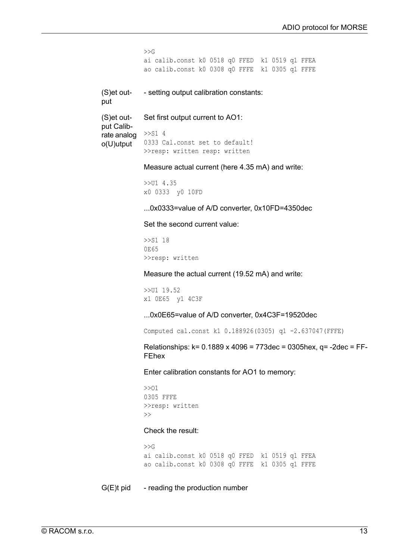```
>>Gai calib.const k0 0518 q0 FFED k1 0519 q1 FFEA
            ao calib.const k0 0308 q0 FFFE k1 0305 q1 FFFE
(S)et out-
put
            - setting output calibration constants:
(S)et out-
put Calib-
            Set first output current to AO1:
rate analog \rightarrow >S1 4
            0333 Cal.const set to default!
            >>resp: written resp: written
o(U)utput
            Measure actual current (here 4.35 mA) and write:
            >>U1 4.35
            x0 0333 y0 10FD
            ...0x0333=value of A/D converter, 0x10FD=4350dec
            Set the second current value:
            >>S1 18
            0E65
            >>resp: written
            Measure the actual current (19.52 mA) and write:
            >>U1 19.52
            x1 0E65 y1 4C3F
            ...0x0E65=value of A/D converter, 0x4C3F=19520dec
            Computed cal.const k1 0.188926(0305) q1 -2.637047(FFFE)
            Relationships: k= 0.1889 x 4096 = 773dec = 0305hex, q= -2dec = FF-
            FEhex
            Enter calibration constants for AO1 to memory:
            >>O1
            0305 FFFE
            >>resp: written
            \rightarrowCheck the result:
            >>Gai calib.const k0 0518 q0 FFED k1 0519 q1 FFEA
            ao calib.const k0 0308 q0 FFFE k1 0305 q1 FFFE
G(E)t pid - reading the production number
```